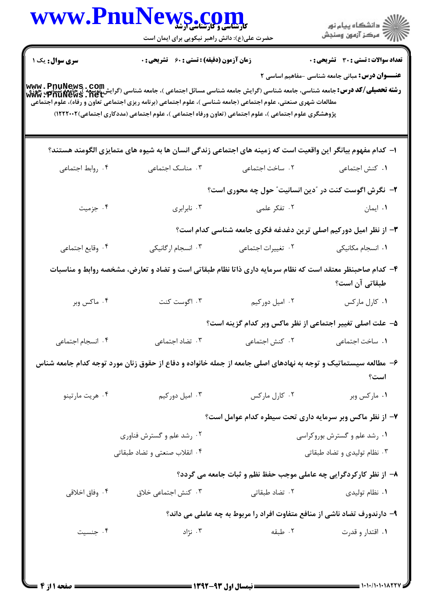|                        | WWW.PnuNews.com<br>حضرت علی(ع): دانش راهبر نیکویی برای ایمان است                                                                                                                                                                                                                                                                                                                                                                                                       |                                                                           | ِ<br>∭ دانشڪاه پيام نور<br>∭ مرڪز آزمون وسنڊش                                                          |
|------------------------|------------------------------------------------------------------------------------------------------------------------------------------------------------------------------------------------------------------------------------------------------------------------------------------------------------------------------------------------------------------------------------------------------------------------------------------------------------------------|---------------------------------------------------------------------------|--------------------------------------------------------------------------------------------------------|
| <b>سری سوال :</b> یک ۱ | <b>زمان آزمون (دقیقه) : تستی : 60 ٪ تشریحی : 0</b>                                                                                                                                                                                                                                                                                                                                                                                                                     |                                                                           | <b>تعداد سوالات : تستی : 30 ٪ تشریحی : 0</b><br><b>عنـــوان درس:</b> مبانی جامعه شناسی -مفاهیم اساسی ۲ |
|                        | <b>رشته تحصیلی/کد درس:</b> جامعه شناسی، جامعه شناسی (گرایش جامعه شناسی مسائل اجتماعی )، جامعه شناسی (گرایش نوسعه )، جامعه<br><b>رشته تحصیلی/کد درس:</b> جامعه شناسی، جامعه شناسی (گرایش جامعه شناسی مسائل اجتماعی )، جامعه شناسی (گرایش نوسع<br>مطالعات شهری صنعتی، علوم اجتماعی (جامعه شناسی )، علوم اجتماعی (برنامه ریزی اجتماعی تعاون و رفاه)، علوم اجتماعی<br>پژوهشگری علوم اجتماعی )، علوم اجتماعی (تعاون ورفاه اجتماعی )، علوم اجتماعی (مددکاری اجتماعی)۲۲۲۲۰۰۲) |                                                                           |                                                                                                        |
|                        | ا– کدام مفهوم بیانگر این واقعیت است که زمینه های اجتماعی زندگی انسان ها به شیوه های متمایزی الگومند هستند؟                                                                                                                                                                                                                                                                                                                                                             |                                                                           |                                                                                                        |
| ۰۴ روابط اجتماعی       | ۰۳ مناسک اجتماعی                                                                                                                                                                                                                                                                                                                                                                                                                                                       | ٢. ساخت اجتماعی                                                           | ٠١ كنش اجتماعي                                                                                         |
|                        |                                                                                                                                                                                                                                                                                                                                                                                                                                                                        | ۲- نگرش اگوست کنت در "دین انسانیت" حول چه محوری است؟                      |                                                                                                        |
| ۰۴ جزمیت               | ۰۳ نابرابری                                                                                                                                                                                                                                                                                                                                                                                                                                                            | ۰۲ تفکر علمی                                                              | ٠١. ايمان                                                                                              |
|                        |                                                                                                                                                                                                                                                                                                                                                                                                                                                                        | ۳- از نظر امیل دورکیم اصلی ترین دغدغه فکری جامعه شناسی کدام است؟          |                                                                                                        |
| ۰۴ وقايع اجتماعي       | ۰۳ انسجام ارگانیکی                                                                                                                                                                                                                                                                                                                                                                                                                                                     | ٠٢ تغييرات اجتماعي                                                        | ٠١. انسجام مكانيكى                                                                                     |
|                        | ۴- کدام صاحبنظر معتقد است که نظام سرمایه داری ذاتا نظام طبقاتی است و تضاد و تعارض، مشخصه روابط و مناسبات                                                                                                                                                                                                                                                                                                                                                               |                                                                           | طبقاتی آن است؟                                                                                         |
| ۰۴ ماکس وبر            | ۰۳ اگوست کنت                                                                                                                                                                                                                                                                                                                                                                                                                                                           | ۰۲ اميل دوركيم                                                            | ٠١ كارل ماركس                                                                                          |
|                        |                                                                                                                                                                                                                                                                                                                                                                                                                                                                        | ۵– علت اصلی تغییر اجتماعی از نظر ماکس وبر کدام گزینه است؟                 |                                                                                                        |
| ۰۴ انسجام اجتماعی      | ۰۳ تضاد اجتماعی                                                                                                                                                                                                                                                                                                                                                                                                                                                        | ٠٢ كنش اجتماعي                                                            | ٠١. ساخت اجتماعي                                                                                       |
|                        | ۶– مطالعه سیستماتیک و توجه به نهادهای اصلی جامعه از جمله خانواده و دفاع از حقوق زنان مورد توجه کدام جامعه شناس                                                                                                                                                                                                                                                                                                                                                         |                                                                           | است؟                                                                                                   |
| ۰۴ هريت مارتينو        | ۰۳ اميل دورکيم                                                                                                                                                                                                                                                                                                                                                                                                                                                         | ٠٢ كارل ماركس                                                             | ۰۱ مارکس وبر                                                                                           |
|                        |                                                                                                                                                                                                                                                                                                                                                                                                                                                                        | ۷– از نظر ماکس وبر سرمایه داری تحت سیطره کدام عوامل است؟                  |                                                                                                        |
|                        | ۰۲ رشد علم و گسترش فناوری                                                                                                                                                                                                                                                                                                                                                                                                                                              |                                                                           | ۰۱ رشد علم و گسترش بوروکراسی                                                                           |
|                        | ۰۴ انقلاب صنعتی و تضاد طبقاتی                                                                                                                                                                                                                                                                                                                                                                                                                                          |                                                                           | ۰۳ نظام تولیدی و تضاد طبقاتی                                                                           |
|                        |                                                                                                                                                                                                                                                                                                                                                                                                                                                                        | ۸– از نظر کارکردگرایی چه عاملی موجب حفظ نظم و ثبات جامعه می گردد؟         |                                                                                                        |
| ۰۴ وفاق اخلاقي         | ٠٣ كنش اجتماعي خلاق                                                                                                                                                                                                                                                                                                                                                                                                                                                    | ۰۲ تضاد طبقاتی                                                            | ۰۱ نظام تولیدی                                                                                         |
|                        |                                                                                                                                                                                                                                                                                                                                                                                                                                                                        | ۹- دارندورف تضاد ناشی از منافع متفاوت افراد را مربوط به چه عاملی می داند؟ |                                                                                                        |
| ۰۴ جنسیت               |                                                                                                                                                                                                                                                                                                                                                                                                                                                                        |                                                                           |                                                                                                        |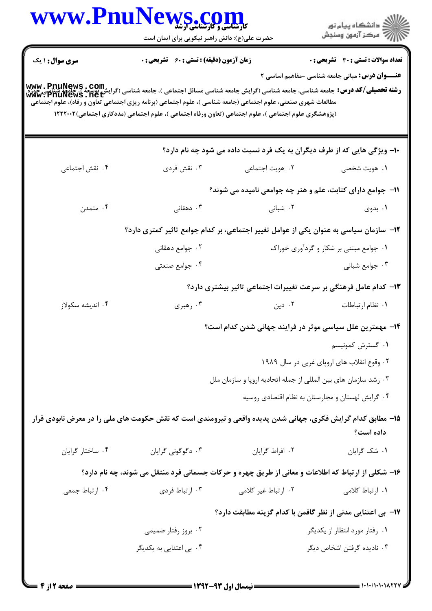|                                                                                                                                                                                                                                                                         | WWW.PnuNews.com<br>حضرت علی(ع): دانش راهبر نیکویی برای ایمان است |                                                                                                      | الا دانشگاه پيام نور<br>  پر مرکز آزمون وسنجش                                                          |
|-------------------------------------------------------------------------------------------------------------------------------------------------------------------------------------------------------------------------------------------------------------------------|------------------------------------------------------------------|------------------------------------------------------------------------------------------------------|--------------------------------------------------------------------------------------------------------|
| <b>سری سوال :</b> ۱ یک                                                                                                                                                                                                                                                  | <b>زمان آزمون (دقیقه) : تستی : 60 ٪ تشریحی : 0</b>               |                                                                                                      | <b>تعداد سوالات : تستی : 30 ٪ تشریحی : 0</b><br><b>عنـــوان درس:</b> مبانی جامعه شناسی -مفاهیم اساسی ۲ |
| <br>و <b>شته تحصیلی/کد درس:</b> جامعه شناسی، جامعه شناسی (گرایش جامعه شناسی مسائل اجتماعی )، جامعه شناسی (گرایش نوسعه )، جامعه<br>WWW • PnuNews • net<br>مطالعات شهری صنعتی، علوم اجتماعی (جامعه شناسی )، علوم اجتماعی (برنامه ریزی اجتماعی تعاون و رفاه)، علوم اجتماعی |                                                                  | (پژوهشگری علوم اجتماعی )، علوم اجتماعی (تعاون ورفاه اجتماعی )، علوم اجتماعی (مددکاری اجتماعی)۱۲۲۲۰۰۲ |                                                                                                        |
|                                                                                                                                                                                                                                                                         |                                                                  | ۱۰- ویژگی هایی که از طرف دیگران به یک فرد نسبت داده می شود چه نام دارد؟                              |                                                                                                        |
| ۰۴ نقش اجتماعی                                                                                                                                                                                                                                                          | ۰۳ نقش فردي                                                      | ٢. هويت اجتماعي                                                                                      | ١. هويت شخصي                                                                                           |
|                                                                                                                                                                                                                                                                         |                                                                  | 11- جوامع دارای کتابت، علم و هنر چه جوامعی نامیده می شوند؟                                           |                                                                                                        |
| ۰۴ متمدن                                                                                                                                                                                                                                                                | ۰۳ دهقانی                                                        | ۰۲ شبانی                                                                                             | ۰۱ بدوی                                                                                                |
|                                                                                                                                                                                                                                                                         |                                                                  | ۱۲– سازمان سیاسی به عنوان یکی از عوامل تغییر اجتماعی، بر کدام جوامع تاثیر کمتری دارد؟                |                                                                                                        |
|                                                                                                                                                                                                                                                                         | ۰۲ جوامع دهقانی                                                  |                                                                                                      | ۰۱ جوامع مبتنی بر شکار و گردآوری خوراک                                                                 |
|                                                                                                                                                                                                                                                                         | ۰۴ جوامع صنعتی                                                   |                                                                                                      | ۰۳ جوامع شبانی                                                                                         |
|                                                                                                                                                                                                                                                                         |                                                                  | ۱۳- کدام عامل فرهنگی بر سرعت تغییرات اجتماعی تاثیر بیشتری دارد؟                                      |                                                                                                        |
| ۰۴ اندیشه سکولاز                                                                                                                                                                                                                                                        | ۰۳ رهبری                                                         | ۰۲ دین                                                                                               | ٠١ نظام ارتباطات                                                                                       |
|                                                                                                                                                                                                                                                                         |                                                                  | ۱۴- مهمترین علل سیاسی موثر در فرایند جهانی شدن کدام است؟                                             |                                                                                                        |
|                                                                                                                                                                                                                                                                         |                                                                  |                                                                                                      | ۰۱ گسترش کمونیسم                                                                                       |
|                                                                                                                                                                                                                                                                         |                                                                  |                                                                                                      | ۰۲ وقوع انقلاب های اروپای غربی در سال ۱۹۸۹                                                             |
|                                                                                                                                                                                                                                                                         |                                                                  | ۰۳ رشد سازمان های بین المللی از جمله اتحادیه اروپا و سازمان ملل                                      |                                                                                                        |
|                                                                                                                                                                                                                                                                         |                                                                  |                                                                                                      | ۰۴ گرایش لهستان و مجارستان به نظام اقتصادی روسیه                                                       |
| ۱۵– مطابق کدام گرایش فکری، جهانی شدن پدیده واقعی و نیرومندی است که نقش حکومت های ملی را در معرض نابودی قرار                                                                                                                                                             |                                                                  |                                                                                                      | داده است؟                                                                                              |
| ۰۴ ساختار گرایان                                                                                                                                                                                                                                                        | ۰۳ دگوگونی گرایان                                                | ٠٢ افراط گرايان                                                                                      | ۰۱ شک گرایان                                                                                           |
|                                                                                                                                                                                                                                                                         |                                                                  | ۱۶- شکلی از ارتباط که اطلاعات و معانی از طریق چهره و حرکات جسمانی فرد منتقل می شوند، چه نام دارد؟    |                                                                                                        |
| ۰۴ ارتباط جمعی                                                                                                                                                                                                                                                          | ۰۳ ارتباط فردي                                                   | ۲. ارتباط غیر کلامی                                                                                  | ١. ارتباط كلامى                                                                                        |
|                                                                                                                                                                                                                                                                         |                                                                  | IV−  بی اعتنایی مدنی از نظر گافمن با کدام گزینه مطابقت دارد؟                                         |                                                                                                        |
|                                                                                                                                                                                                                                                                         | ۰۲ بروز رفتار صمیمی                                              |                                                                                                      | ۰۱ رفتار مورد انتظار از یکدیگر                                                                         |
|                                                                                                                                                                                                                                                                         |                                                                  |                                                                                                      |                                                                                                        |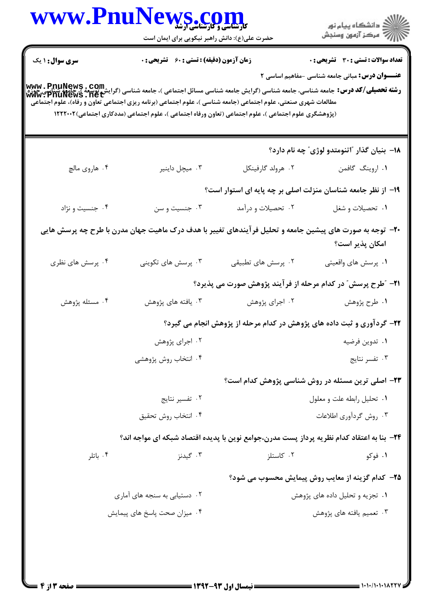|                        | WWW.PnuNews.com<br>حضرت علی(ع): دانش راهبر نیکویی برای ایمان است                                                                                                                                                                                                                                                                                   |                                                                                 | ر<br>دانشڪاه پيام نور)<br>ا∛ مرڪز آزمون وسنڊش            |
|------------------------|----------------------------------------------------------------------------------------------------------------------------------------------------------------------------------------------------------------------------------------------------------------------------------------------------------------------------------------------------|---------------------------------------------------------------------------------|----------------------------------------------------------|
| <b>سری سوال :</b> ۱ یک | زمان آزمون (دقیقه) : تستی : 60 ٪ تشریحی : 0                                                                                                                                                                                                                                                                                                        |                                                                                 | <b>تعداد سوالات : تستی : 30 ٪ تشریحی : 0</b>             |
|                        | www . PnuNews , Com<br> و <b>شته تحصیلی/کد درس:</b> جامعه شناسی، جامعه شناسی (گرایش جامعه شناسی مسائل اجتماعی )، جامعه (گرایش نوسعه )، جامعه<br> www . PnuNews . net<br> وم اجتماعی می در این ملوم اجتماعی تعاون و رفاه)، علوم اجتماعی (می<br>(پژوهشگری علوم اجتماعی )، علوم اجتماعی (تعاون ورفاه اجتماعی )، علوم اجتماعی (مددکاری اجتماعی)۱۲۲۲۰۰۲ |                                                                                 | <b>عنـــوان درس:</b> مبانی جامعه شناسی -مفاهیم اساسی ۲   |
|                        |                                                                                                                                                                                                                                                                                                                                                    |                                                                                 | ۱۸– بنیان گذار ″اتنومتدو لوژی″ چه نام دارد؟              |
| ۰۴ هاروي مالچ          | ۰۳ میچل داینیر                                                                                                                                                                                                                                                                                                                                     | ۰۲ هرولد گارفینکل                                                               | ٠١ اروينگ گافمن                                          |
|                        |                                                                                                                                                                                                                                                                                                                                                    | ۱۹- از نظر جامعه شناسان منزلت اصلی بر چه پایه ای استوار است؟                    |                                                          |
| ۰۴ جنسیت و نژاد        | ۰۳ جنسیت و سن                                                                                                                                                                                                                                                                                                                                      | ۰۲ تحصیلات و درآمد                                                              | ۰۱ تحصیلات و شغل                                         |
|                        | +۲- توجه به صورت های پیشین جامعه و تحلیل فرآیندهای تغییر با هدف درک ماهیت جهان مدرن با طرح چه پرسش هایی                                                                                                                                                                                                                                            |                                                                                 | امكان پذير است؟                                          |
| ۰۴ پرسش های نظری       | ۰۳ پرسش های تکوینی                                                                                                                                                                                                                                                                                                                                 | ۰۲ پرسش های تطبیقی                                                              | ۰۱ پرسش های واقعیتی                                      |
|                        |                                                                                                                                                                                                                                                                                                                                                    | <b>۲۱</b> - "طرح پرسش <sup>"</sup> در کدام مرحله از فرآیند پژوهش صورت می پذیرد؟ |                                                          |
| ۰۴ مسئله پژوهش         | ۰۳ يافته هاي پژوهش                                                                                                                                                                                                                                                                                                                                 | ۰۲ اجرای پژوهش                                                                  | ۰۱ طرح پژوهش                                             |
|                        |                                                                                                                                                                                                                                                                                                                                                    | ۲۲- گردآوری و ثبت داده های پژوهش در کدام مرحله از پژوهش انجام می گیرد؟          |                                                          |
|                        | ۰۲ اجرای پژوهش                                                                                                                                                                                                                                                                                                                                     |                                                                                 | ٠١ تدوين فرضيه                                           |
|                        | ۰۴ انتخاب روش پژوهشی                                                                                                                                                                                                                                                                                                                               |                                                                                 | ۰۳ تفسر نتايج                                            |
|                        |                                                                                                                                                                                                                                                                                                                                                    |                                                                                 | <b>۲۳</b> - اصلی ترین مسئله در روش شناسی پژوهش کدام است؟ |
|                        | ۰۲ تفسیر نتایج                                                                                                                                                                                                                                                                                                                                     |                                                                                 | ۰۱ تحلیل رابطه علت و معلول                               |
|                        | ۰۴ انتخاب روش تحقيق                                                                                                                                                                                                                                                                                                                                |                                                                                 | ۰۳ روش گردآوري اطلاعات                                   |
|                        | ۲۴- بنا به اعتقاد کدام نظریه پرداز پست مدرن،جوامع نوین با پدیده اقتصاد شبکه ای مواجه اند؟                                                                                                                                                                                                                                                          |                                                                                 |                                                          |
| ۰۴ باتلر               | ۰۳ گیدنز                                                                                                                                                                                                                                                                                                                                           | ۰۲ کاستلز                                                                       | ۰۱ فوکو                                                  |
|                        |                                                                                                                                                                                                                                                                                                                                                    |                                                                                 | <b>۲۵</b> - کدام گزینه از معایب روش پیمایش محسوب می شود؟ |
|                        | ۰۲ دستیابی به سنجه های آماری                                                                                                                                                                                                                                                                                                                       |                                                                                 | ۰۱ تجزیه و تحلیل داده های پژوهش                          |
|                        | ۰۴ میزان صحت پاسخ های پیمایش                                                                                                                                                                                                                                                                                                                       |                                                                                 | ۰۳ تعمیم یافته های پژوهش                                 |